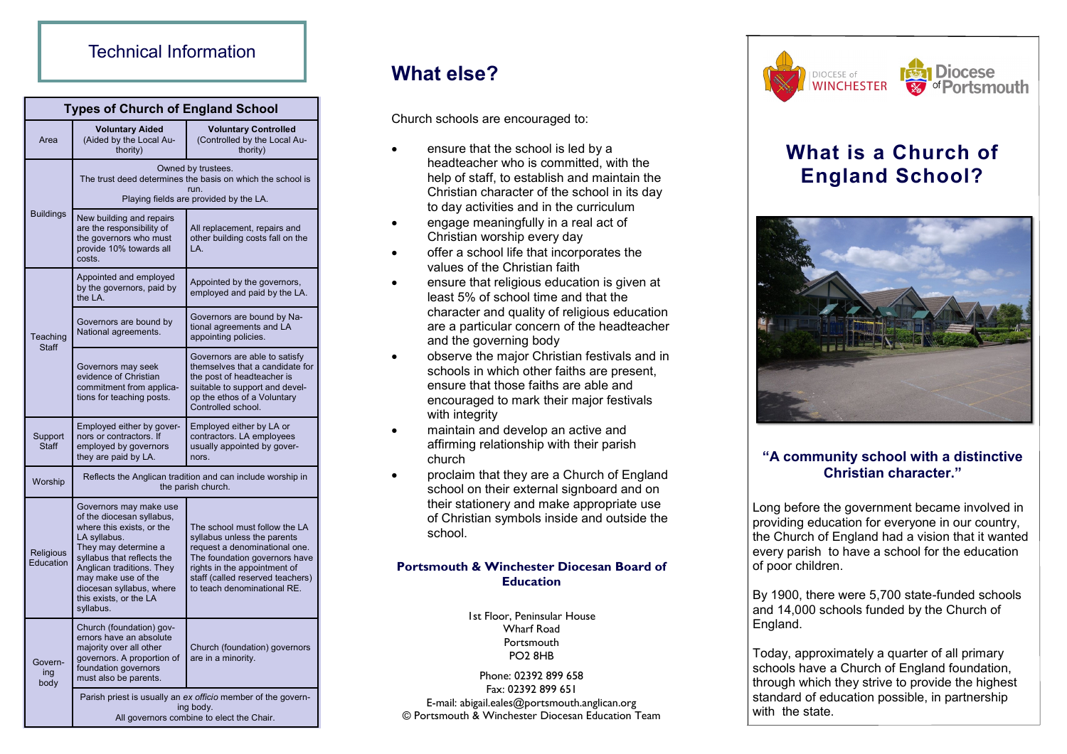## Technical Information

| <b>Types of Church of England School</b> |                                                                                                                                                                                                                                                                               |                                                                                                                                                                                                                                   |
|------------------------------------------|-------------------------------------------------------------------------------------------------------------------------------------------------------------------------------------------------------------------------------------------------------------------------------|-----------------------------------------------------------------------------------------------------------------------------------------------------------------------------------------------------------------------------------|
| Area                                     | <b>Voluntary Aided</b><br>(Aided by the Local Au-<br>thority)                                                                                                                                                                                                                 | <b>Voluntary Controlled</b><br>(Controlled by the Local Au-<br>thority)                                                                                                                                                           |
| <b>Buildings</b>                         | Owned by trustees.<br>The trust deed determines the basis on which the school is<br>run.<br>Playing fields are provided by the LA.                                                                                                                                            |                                                                                                                                                                                                                                   |
|                                          | New building and repairs<br>are the responsibility of<br>the governors who must<br>provide 10% towards all<br>costs.                                                                                                                                                          | All replacement, repairs and<br>other building costs fall on the<br>LA.                                                                                                                                                           |
| Teaching<br><b>Staff</b>                 | Appointed and employed<br>by the governors, paid by<br>the LA.                                                                                                                                                                                                                | Appointed by the governors,<br>employed and paid by the LA.                                                                                                                                                                       |
|                                          | Governors are bound by<br>National agreements.                                                                                                                                                                                                                                | Governors are bound by Na-<br>tional agreements and LA<br>appointing policies.                                                                                                                                                    |
|                                          | Governors may seek<br>evidence of Christian<br>commitment from applica-<br>tions for teaching posts.                                                                                                                                                                          | Governors are able to satisfy<br>themselves that a candidate for<br>the post of headteacher is<br>suitable to support and devel-<br>op the ethos of a Voluntary<br>Controlled school.                                             |
| Support<br><b>Staff</b>                  | Employed either by gover-<br>nors or contractors. If<br>employed by governors<br>they are paid by LA.                                                                                                                                                                         | Employed either by LA or<br>contractors. LA employees<br>usually appointed by gover-<br>nors.                                                                                                                                     |
| Worship                                  | Reflects the Anglican tradition and can include worship in<br>the parish church.                                                                                                                                                                                              |                                                                                                                                                                                                                                   |
| Religious<br>Education                   | Governors may make use<br>of the diocesan syllabus,<br>where this exists, or the<br>LA syllabus.<br>They may determine a<br>syllabus that reflects the<br>Anglican traditions. They<br>may make use of the<br>diocesan syllabus, where<br>this exists, or the LA<br>syllabus. | The school must follow the LA<br>syllabus unless the parents<br>request a denominational one.<br>The foundation governors have<br>rights in the appointment of<br>staff (called reserved teachers)<br>to teach denominational RE. |
| Govern-<br>ing<br>body                   | Church (foundation) gov-<br>ernors have an absolute<br>majority over all other<br>governors. A proportion of<br>foundation governors<br>must also be parents.                                                                                                                 | Church (foundation) governors<br>are in a minority.                                                                                                                                                                               |
|                                          | Parish priest is usually an ex officio member of the govern-<br>ing body.<br>All governors combine to elect the Chair.                                                                                                                                                        |                                                                                                                                                                                                                                   |

## **What else?**

Church schools are encouraged to:

- ensure that the school is led by a headteacher who is committed, with the help of staff, to establish and maintain the Christian character of the school in its day to day activities and in the curriculum
- engage meaningfully in a real act of Christian worship every day
- offer a school life that incorporates the values of the Christian faith
- ensure that religious education is given at least 5% of school time and that the character and quality of religious education are a particular concern of the headteacher and the governing body
- observe the major Christian festivals and in schools in which other faiths are present. ensure that those faiths are able and encouraged to mark their major festivals with integrity
- maintain and develop an active and affirming relationship with their parish church
- proclaim that they are a Church of England school on their external signboard and on their stationery and make appropriate use of Christian symbols inside and outside the school.

#### **Portsmouth & Winchester Diocesan Board of Education**

1st Floor, Peninsular House Wharf Road **Portsmouth** PO2 8HB

Phone: 02392 899 658 Fax: 02392 899 651 E-mail: abigail.eales@portsmouth.anglican.org © Portsmouth & Winchester Diocesan Education Team



# **What is a Church of England School?**



#### **"A community school with a distinctive Christian character."**

Long before the government became involved in providing education for everyone in our country, the Church of England had a vision that it wanted every parish to have a school for the education of poor children.

By 1900, there were 5,700 state-funded schools and 14,000 schools funded by the Church of England.

Today, approximately a quarter of all primary schools have a Church of England foundation, through which they strive to provide the highest standard of education possible, in partnership with the state.